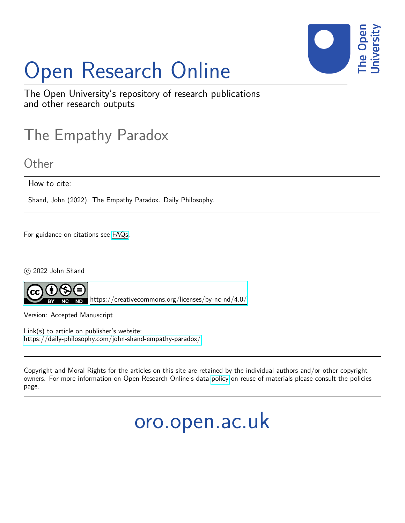

# Open Research Online

The Open University's repository of research publications and other research outputs

### The Empathy Paradox

**Other** 

How to cite:

Shand, John (2022). The Empathy Paradox. Daily Philosophy.

For guidance on citations see [FAQs.](http://oro.open.ac.uk/help/helpfaq.html)

 $\circ$  2022 John Shand



<https://creativecommons.org/licenses/by-nc-nd/4.0/>

Version: Accepted Manuscript

Link(s) to article on publisher's website: <https://daily-philosophy.com/john-shand-empathy-paradox/>

Copyright and Moral Rights for the articles on this site are retained by the individual authors and/or other copyright owners. For more information on Open Research Online's data [policy](http://oro.open.ac.uk/policies.html) on reuse of materials please consult the policies page.

## oro.open.ac.uk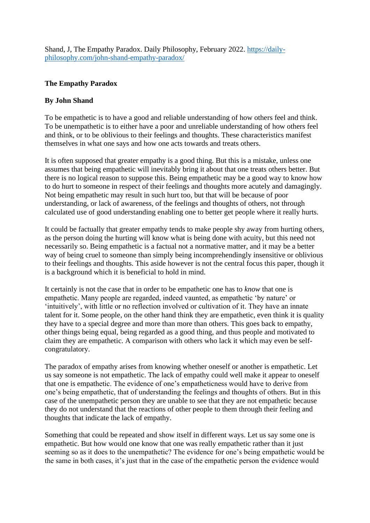Shand, J, The Empathy Paradox. Daily Philosophy, February 2022. [https://daily](https://daily-philosophy.com/john-shand-empathy-paradox/)[philosophy.com/john-shand-empathy-paradox/](https://daily-philosophy.com/john-shand-empathy-paradox/)

### **The Empathy Paradox**

#### **By John Shand**

To be empathetic is to have a good and reliable understanding of how others feel and think. To be unempathetic is to either have a poor and unreliable understanding of how others feel and think, or to be oblivious to their feelings and thoughts. These characteristics manifest themselves in what one says and how one acts towards and treats others.

It is often supposed that greater empathy is a good thing. But this is a mistake, unless one assumes that being empathetic will inevitably bring it about that one treats others better. But there is no logical reason to suppose this. Being empathetic may be a good way to know how to do hurt to someone in respect of their feelings and thoughts more acutely and damagingly. Not being empathetic may result in such hurt too, but that will be because of poor understanding, or lack of awareness, of the feelings and thoughts of others, not through calculated use of good understanding enabling one to better get people where it really hurts.

It could be factually that greater empathy tends to make people shy away from hurting others, as the person doing the hurting will know what is being done with acuity, but this need not necessarily so. Being empathetic is a factual not a normative matter, and it may be a better way of being cruel to someone than simply being incomprehendingly insensitive or oblivious to their feelings and thoughts. This aside however is not the central focus this paper, though it is a background which it is beneficial to hold in mind.

It certainly is not the case that in order to be empathetic one has to *know* that one is empathetic. Many people are regarded, indeed vaunted, as empathetic 'by nature' or 'intuitively', with little or no reflection involved or cultivation of it. They have an innate talent for it. Some people, on the other hand think they are empathetic, even think it is quality they have to a special degree and more than more than others. This goes back to empathy, other things being equal, being regarded as a good thing, and thus people and motivated to claim they are empathetic. A comparison with others who lack it which may even be selfcongratulatory.

The paradox of empathy arises from knowing whether oneself or another is empathetic. Let us say someone is not empathetic. The lack of empathy could well make it appear to oneself that one is empathetic. The evidence of one's empatheticness would have to derive from one's being empathetic, that of understanding the feelings and thoughts of others. But in this case of the unempathetic person they are unable to see that they are not empathetic because they do not understand that the reactions of other people to them through their feeling and thoughts that indicate the lack of empathy.

Something that could be repeated and show itself in different ways. Let us say some one is empathetic. But how would one know that one was really empathetic rather than it just seeming so as it does to the unempathetic? The evidence for one's being empathetic would be the same in both cases, it's just that in the case of the empathetic person the evidence would